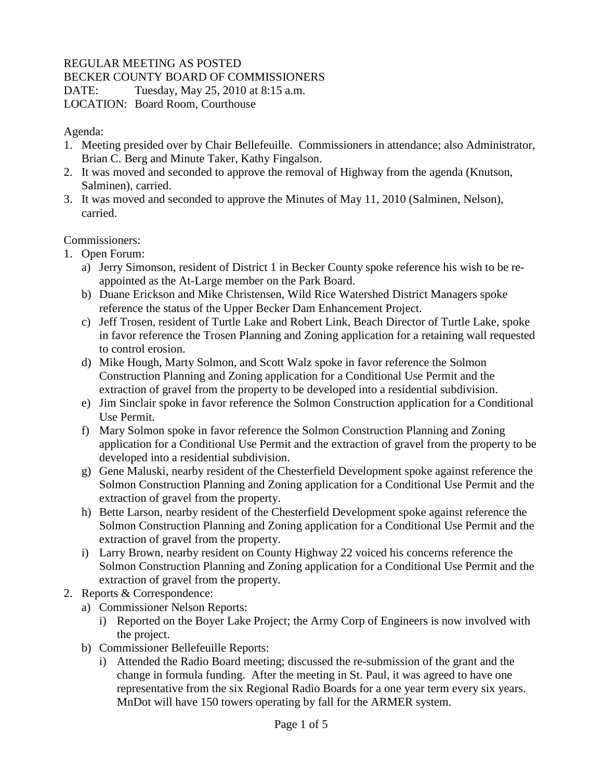## REGULAR MEETING AS POSTED

BECKER COUNTY BOARD OF COMMISSIONERS

DATE: Tuesday, May 25, 2010 at 8:15 a.m.

LOCATION: Board Room, Courthouse

Agenda:

- 1. Meeting presided over by Chair Bellefeuille. Commissioners in attendance; also Administrator, Brian C. Berg and Minute Taker, Kathy Fingalson.
- 2. It was moved and seconded to approve the removal of Highway from the agenda (Knutson, Salminen), carried.
- 3. It was moved and seconded to approve the Minutes of May 11, 2010 (Salminen, Nelson), carried.

Commissioners:

- 1. Open Forum:
	- a) Jerry Simonson, resident of District 1 in Becker County spoke reference his wish to be reappointed as the At-Large member on the Park Board.
	- b) Duane Erickson and Mike Christensen, Wild Rice Watershed District Managers spoke reference the status of the Upper Becker Dam Enhancement Project.
	- c) Jeff Trosen, resident of Turtle Lake and Robert Link, Beach Director of Turtle Lake, spoke in favor reference the Trosen Planning and Zoning application for a retaining wall requested to control erosion.
	- d) Mike Hough, Marty Solmon, and Scott Walz spoke in favor reference the Solmon Construction Planning and Zoning application for a Conditional Use Permit and the extraction of gravel from the property to be developed into a residential subdivision.
	- e) Jim Sinclair spoke in favor reference the Solmon Construction application for a Conditional Use Permit.
	- f) Mary Solmon spoke in favor reference the Solmon Construction Planning and Zoning application for a Conditional Use Permit and the extraction of gravel from the property to be developed into a residential subdivision.
	- g) Gene Maluski, nearby resident of the Chesterfield Development spoke against reference the Solmon Construction Planning and Zoning application for a Conditional Use Permit and the extraction of gravel from the property.
	- h) Bette Larson, nearby resident of the Chesterfield Development spoke against reference the Solmon Construction Planning and Zoning application for a Conditional Use Permit and the extraction of gravel from the property.
	- i) Larry Brown, nearby resident on County Highway 22 voiced his concerns reference the Solmon Construction Planning and Zoning application for a Conditional Use Permit and the extraction of gravel from the property.
- 2. Reports & Correspondence:
	- a) Commissioner Nelson Reports:
		- i) Reported on the Boyer Lake Project; the Army Corp of Engineers is now involved with the project.
	- b) Commissioner Bellefeuille Reports:
		- i) Attended the Radio Board meeting; discussed the re-submission of the grant and the change in formula funding. After the meeting in St. Paul, it was agreed to have one representative from the six Regional Radio Boards for a one year term every six years. MnDot will have 150 towers operating by fall for the ARMER system.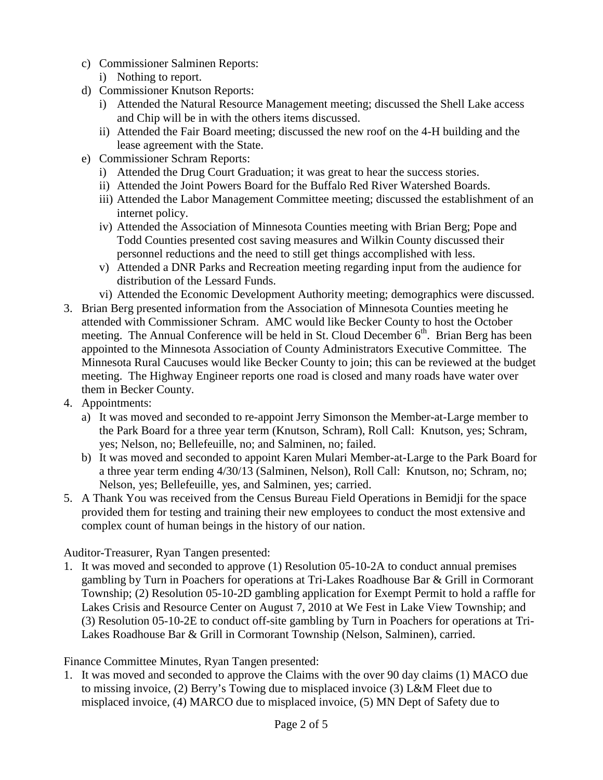- c) Commissioner Salminen Reports:
	- i) Nothing to report.
- d) Commissioner Knutson Reports:
	- i) Attended the Natural Resource Management meeting; discussed the Shell Lake access and Chip will be in with the others items discussed.
	- ii) Attended the Fair Board meeting; discussed the new roof on the 4-H building and the lease agreement with the State.
- e) Commissioner Schram Reports:
	- i) Attended the Drug Court Graduation; it was great to hear the success stories.
	- ii) Attended the Joint Powers Board for the Buffalo Red River Watershed Boards.
	- iii) Attended the Labor Management Committee meeting; discussed the establishment of an internet policy.
	- iv) Attended the Association of Minnesota Counties meeting with Brian Berg; Pope and Todd Counties presented cost saving measures and Wilkin County discussed their personnel reductions and the need to still get things accomplished with less.
	- v) Attended a DNR Parks and Recreation meeting regarding input from the audience for distribution of the Lessard Funds.
	- vi) Attended the Economic Development Authority meeting; demographics were discussed.
- 3. Brian Berg presented information from the Association of Minnesota Counties meeting he attended with Commissioner Schram. AMC would like Becker County to host the October meeting. The Annual Conference will be held in St. Cloud December  $6<sup>th</sup>$ . Brian Berg has been appointed to the Minnesota Association of County Administrators Executive Committee. The Minnesota Rural Caucuses would like Becker County to join; this can be reviewed at the budget meeting. The Highway Engineer reports one road is closed and many roads have water over them in Becker County.
- 4. Appointments:
	- a) It was moved and seconded to re-appoint Jerry Simonson the Member-at-Large member to the Park Board for a three year term (Knutson, Schram), Roll Call: Knutson, yes; Schram, yes; Nelson, no; Bellefeuille, no; and Salminen, no; failed.
	- b) It was moved and seconded to appoint Karen Mulari Member-at-Large to the Park Board for a three year term ending 4/30/13 (Salminen, Nelson), Roll Call: Knutson, no; Schram, no; Nelson, yes; Bellefeuille, yes, and Salminen, yes; carried.
- 5. A Thank You was received from the Census Bureau Field Operations in Bemidji for the space provided them for testing and training their new employees to conduct the most extensive and complex count of human beings in the history of our nation.

Auditor-Treasurer, Ryan Tangen presented:

1. It was moved and seconded to approve (1) Resolution 05-10-2A to conduct annual premises gambling by Turn in Poachers for operations at Tri-Lakes Roadhouse Bar & Grill in Cormorant Township; (2) Resolution 05-10-2D gambling application for Exempt Permit to hold a raffle for Lakes Crisis and Resource Center on August 7, 2010 at We Fest in Lake View Township; and (3) Resolution 05-10-2E to conduct off-site gambling by Turn in Poachers for operations at Tri-Lakes Roadhouse Bar & Grill in Cormorant Township (Nelson, Salminen), carried.

Finance Committee Minutes, Ryan Tangen presented:

1. It was moved and seconded to approve the Claims with the over 90 day claims (1) MACO due to missing invoice, (2) Berry's Towing due to misplaced invoice (3) L&M Fleet due to misplaced invoice, (4) MARCO due to misplaced invoice, (5) MN Dept of Safety due to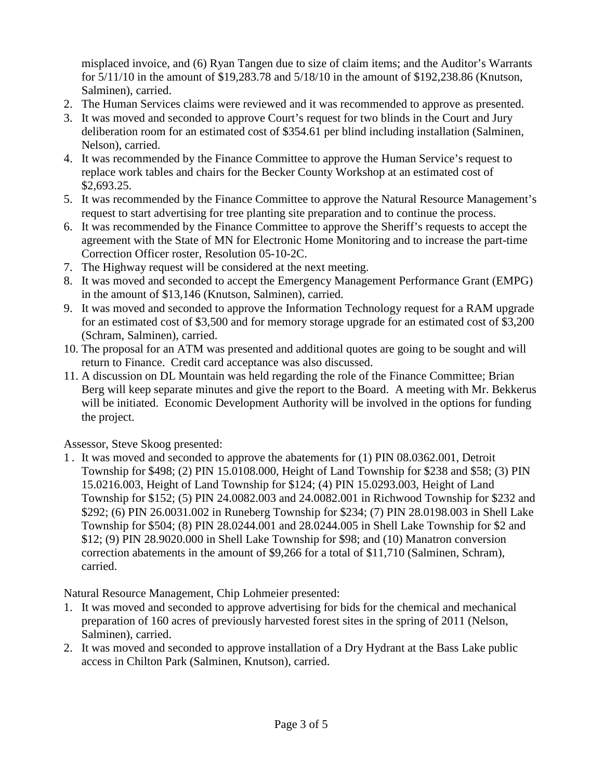misplaced invoice, and (6) Ryan Tangen due to size of claim items; and the Auditor's Warrants for 5/11/10 in the amount of \$19,283.78 and 5/18/10 in the amount of \$192,238.86 (Knutson, Salminen), carried.

- 2. The Human Services claims were reviewed and it was recommended to approve as presented.
- 3. It was moved and seconded to approve Court's request for two blinds in the Court and Jury deliberation room for an estimated cost of \$354.61 per blind including installation (Salminen, Nelson), carried.
- 4. It was recommended by the Finance Committee to approve the Human Service's request to replace work tables and chairs for the Becker County Workshop at an estimated cost of \$2,693.25.
- 5. It was recommended by the Finance Committee to approve the Natural Resource Management's request to start advertising for tree planting site preparation and to continue the process.
- 6. It was recommended by the Finance Committee to approve the Sheriff's requests to accept the agreement with the State of MN for Electronic Home Monitoring and to increase the part-time Correction Officer roster, Resolution 05-10-2C.
- 7. The Highway request will be considered at the next meeting.
- 8. It was moved and seconded to accept the Emergency Management Performance Grant (EMPG) in the amount of \$13,146 (Knutson, Salminen), carried.
- 9. It was moved and seconded to approve the Information Technology request for a RAM upgrade for an estimated cost of \$3,500 and for memory storage upgrade for an estimated cost of \$3,200 (Schram, Salminen), carried.
- 10. The proposal for an ATM was presented and additional quotes are going to be sought and will return to Finance. Credit card acceptance was also discussed.
- 11. A discussion on DL Mountain was held regarding the role of the Finance Committee; Brian Berg will keep separate minutes and give the report to the Board. A meeting with Mr. Bekkerus will be initiated. Economic Development Authority will be involved in the options for funding the project.

Assessor, Steve Skoog presented:

1 . It was moved and seconded to approve the abatements for (1) PIN 08.0362.001, Detroit Township for \$498; (2) PIN 15.0108.000, Height of Land Township for \$238 and \$58; (3) PIN 15.0216.003, Height of Land Township for \$124; (4) PIN 15.0293.003, Height of Land Township for \$152; (5) PIN 24.0082.003 and 24.0082.001 in Richwood Township for \$232 and \$292; (6) PIN 26.0031.002 in Runeberg Township for \$234; (7) PIN 28.0198.003 in Shell Lake Township for \$504; (8) PIN 28.0244.001 and 28.0244.005 in Shell Lake Township for \$2 and \$12; (9) PIN 28.9020.000 in Shell Lake Township for \$98; and (10) Manatron conversion correction abatements in the amount of \$9,266 for a total of \$11,710 (Salminen, Schram), carried.

Natural Resource Management, Chip Lohmeier presented:

- 1. It was moved and seconded to approve advertising for bids for the chemical and mechanical preparation of 160 acres of previously harvested forest sites in the spring of 2011 (Nelson, Salminen), carried.
- 2. It was moved and seconded to approve installation of a Dry Hydrant at the Bass Lake public access in Chilton Park (Salminen, Knutson), carried.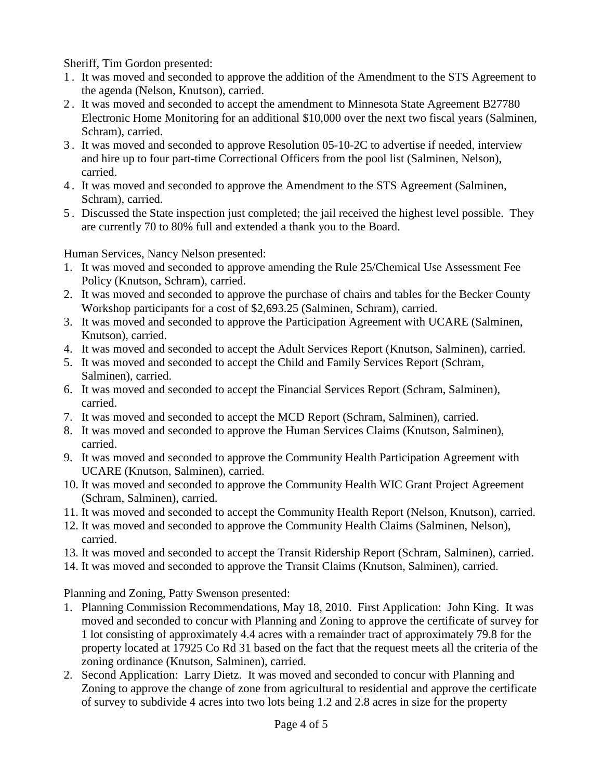Sheriff, Tim Gordon presented:

- 1 . It was moved and seconded to approve the addition of the Amendment to the STS Agreement to the agenda (Nelson, Knutson), carried.
- 2 . It was moved and seconded to accept the amendment to Minnesota State Agreement B27780 Electronic Home Monitoring for an additional \$10,000 over the next two fiscal years (Salminen, Schram), carried.
- 3 . It was moved and seconded to approve Resolution 05-10-2C to advertise if needed, interview and hire up to four part-time Correctional Officers from the pool list (Salminen, Nelson), carried.
- 4 . It was moved and seconded to approve the Amendment to the STS Agreement (Salminen, Schram), carried.
- 5 . Discussed the State inspection just completed; the jail received the highest level possible. They are currently 70 to 80% full and extended a thank you to the Board.

Human Services, Nancy Nelson presented:

- 1. It was moved and seconded to approve amending the Rule 25/Chemical Use Assessment Fee Policy (Knutson, Schram), carried.
- 2. It was moved and seconded to approve the purchase of chairs and tables for the Becker County Workshop participants for a cost of \$2,693.25 (Salminen, Schram), carried.
- 3. It was moved and seconded to approve the Participation Agreement with UCARE (Salminen, Knutson), carried.
- 4. It was moved and seconded to accept the Adult Services Report (Knutson, Salminen), carried.
- 5. It was moved and seconded to accept the Child and Family Services Report (Schram, Salminen), carried.
- 6. It was moved and seconded to accept the Financial Services Report (Schram, Salminen), carried.
- 7. It was moved and seconded to accept the MCD Report (Schram, Salminen), carried.
- 8. It was moved and seconded to approve the Human Services Claims (Knutson, Salminen), carried.
- 9. It was moved and seconded to approve the Community Health Participation Agreement with UCARE (Knutson, Salminen), carried.
- 10. It was moved and seconded to approve the Community Health WIC Grant Project Agreement (Schram, Salminen), carried.
- 11. It was moved and seconded to accept the Community Health Report (Nelson, Knutson), carried.
- 12. It was moved and seconded to approve the Community Health Claims (Salminen, Nelson), carried.
- 13. It was moved and seconded to accept the Transit Ridership Report (Schram, Salminen), carried.
- 14. It was moved and seconded to approve the Transit Claims (Knutson, Salminen), carried.

Planning and Zoning, Patty Swenson presented:

- 1. Planning Commission Recommendations, May 18, 2010. First Application: John King. It was moved and seconded to concur with Planning and Zoning to approve the certificate of survey for 1 lot consisting of approximately 4.4 acres with a remainder tract of approximately 79.8 for the property located at 17925 Co Rd 31 based on the fact that the request meets all the criteria of the zoning ordinance (Knutson, Salminen), carried.
- 2. Second Application: Larry Dietz. It was moved and seconded to concur with Planning and Zoning to approve the change of zone from agricultural to residential and approve the certificate of survey to subdivide 4 acres into two lots being 1.2 and 2.8 acres in size for the property